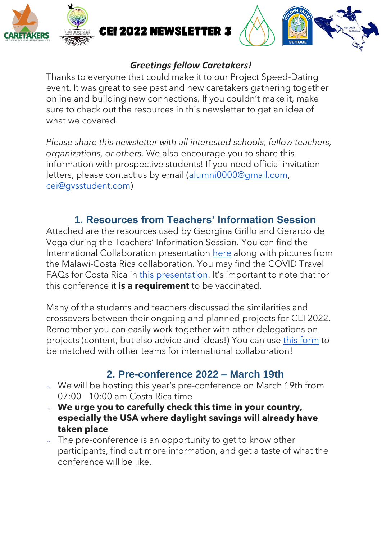



#### *Greetings fellow Caretakers!*

Thanks to everyone that could make it to our Project Speed-Dating event. It was great to see past and new caretakers gathering together online and building new connections. If you couldn't make it, make sure to check out the resources in this newsletter to get an idea of what we covered.

*Please share this newsletter with all interested schools, fellow teachers, organizations, or others*. We also encourage you to share this information with prospective students! If you need official invitation letters, please contact us by email [\(alumni0000@gmail.com,](mailto:alumni0000@gmail.com) [cei@gvsstudent.com\)](mailto:cei@gvsstudent.com)

## **1. Resources from Teachers' Information Session**

Attached are the resources used by Georgina Grillo and Gerardo de Vega during the Teachers' Information Session. You can find the International Collaboration presentation [here](https://drive.google.com/file/d/1ZCn_9Wwla4WzOPstk37Jmdq4f_-U6LsV/view?usp=drivesdk) along with pictures from the Malawi-Costa Rica collaboration. You may find the COVID Travel FAQs for Costa Rica in [this presentation](https://drive.google.com/file/d/136jJnzQbPh2KUOKf8K1X9zzHSlCnvQHY/view?usp=drivesdk). It's important to note that for this conference it **is a requirement** to be vaccinated.

Many of the students and teachers discussed the similarities and crossovers between their ongoing and planned projects for CEI 2022. Remember you can easily work together with other delegations on projects (content, but also advice and ideas!) You can use [this form](https://docs.google.com/forms/d/1WBUhsgHR9K_ZEGhhoBuBP0JHoFicXtEhLCPxE1NdTa0/edit) to be matched with other teams for international collaboration!

## **2. Pre-conference 2022 – March 19th**

- We will be hosting this year's pre-conference on March 19th from 07:00 - 10:00 am Costa Rica time
- **We urge you to carefully check this time in your country, especially the USA where daylight savings will already have taken place**
- The pre-conference is an opportunity to get to know other participants, find out more information, and get a taste of what the conference will be like.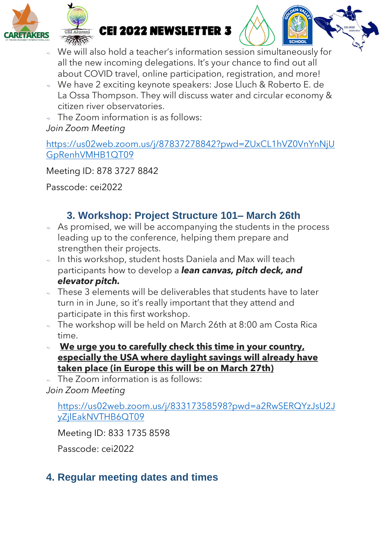

RETAKERS **CEI 2022 NEWSLETTER 3** 



- We will also hold a teacher's information session simultaneously for all the new incoming delegations. It's your chance to find out all about COVID travel, online participation, registration, and more!
- We have 2 exciting keynote speakers: Jose Lluch & Roberto E. de La Ossa Thompson. They will discuss water and circular economy & citizen river observatories.
- The Zoom information is as follows: *Join Zoom Meeting*

[https://us02web.zoom.us/j/87837278842?pwd=ZUxCL1hVZ0VnYnNjU](https://us02web.zoom.us/j/87837278842?pwd=ZUxCL1hVZ0VnYnNjUGpRenhVMHB1QT09) [GpRenhVMHB1QT09](https://us02web.zoom.us/j/87837278842?pwd=ZUxCL1hVZ0VnYnNjUGpRenhVMHB1QT09)

Meeting ID: 878 3727 8842

Passcode: cei2022

# **3. Workshop: Project Structure 101– March 26th**

- As promised, we will be accompanying the students in the process leading up to the conference, helping them prepare and strengthen their projects.
- In this workshop, student hosts Daniela and Max will teach participants how to develop a *lean canvas, pitch deck, and elevator pitch.*
- $\sim$  These 3 elements will be deliverables that students have to later turn in in June, so it's really important that they attend and participate in this first workshop.
- The workshop will be held on March 26th at 8:00 am Costa Rica time.
- **We urge you to carefully check this time in your country, especially the USA where daylight savings will already have taken place (in Europe this will be on March 27th)**
- The Zoom information is as follows:

*Join Zoom Meeting*

[https://us02web.zoom.us/j/83317358598?pwd=a2RwSERQYzJsU2J](https://us02web.zoom.us/j/83317358598?pwd=a2RwSERQYzJsU2JyZjlEakNVTHB6QT09) [yZjlEakNVTHB6QT09](https://us02web.zoom.us/j/83317358598?pwd=a2RwSERQYzJsU2JyZjlEakNVTHB6QT09)

Meeting ID: 833 1735 8598

Passcode: cei2022

# **4. Regular meeting dates and times**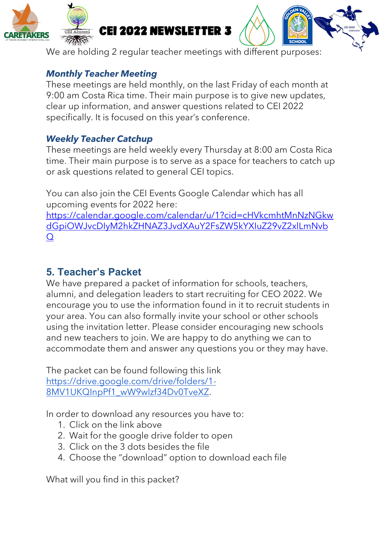





We are holding 2 regular teacher meetings with different purposes:

### *Monthly Teacher Meeting*

These meetings are held monthly, on the last Friday of each month at 9:00 am Costa Rica time. Their main purpose is to give new updates, clear up information, and answer questions related to CEI 2022 specifically. It is focused on this year's conference.

### *Weekly Teacher Catchup*

These meetings are held weekly every Thursday at 8:00 am Costa Rica time. Their main purpose is to serve as a space for teachers to catch up or ask questions related to general CEI topics.

You can also join the CEI Events Google Calendar which has all upcoming events for 2022 here:

[https://calendar.google.com/calendar/u/1?cid=cHVkcmhtMnNzNGkw](https://calendar.google.com/calendar/u/1?cid=cHVkcmhtMnNzNGkwdGpiOWJvcDIyM2hkZHNAZ3JvdXAuY2FsZW5kYXIuZ29vZ2xlLmNvbQ) [dGpiOWJvcDIyM2hkZHNAZ3JvdXAuY2FsZW5kYXIuZ29vZ2xlLmNvb](https://calendar.google.com/calendar/u/1?cid=cHVkcmhtMnNzNGkwdGpiOWJvcDIyM2hkZHNAZ3JvdXAuY2FsZW5kYXIuZ29vZ2xlLmNvbQ) [Q](https://calendar.google.com/calendar/u/1?cid=cHVkcmhtMnNzNGkwdGpiOWJvcDIyM2hkZHNAZ3JvdXAuY2FsZW5kYXIuZ29vZ2xlLmNvbQ)

### **5. Teacher's Packet**

We have prepared a packet of information for schools, teachers, alumni, and delegation leaders to start recruiting for CEO 2022. We encourage you to use the information found in it to recruit students in your area. You can also formally invite your school or other schools using the invitation letter. Please consider encouraging new schools and new teachers to join. We are happy to do anything we can to accommodate them and answer any questions you or they may have.

The packet can be found following this link [https://drive.google.com/drive/folders/1-](https://drive.google.com/drive/folders/1-8MV1UKQInpPf1_wW9wlzf34Dv0TveXZ) [8MV1UKQInpPf1\\_wW9wlzf34Dv0TveXZ.](https://drive.google.com/drive/folders/1-8MV1UKQInpPf1_wW9wlzf34Dv0TveXZ)

In order to download any resources you have to:

- 1. Click on the link above
- 2. Wait for the google drive folder to open
- 3. Click on the 3 dots besides the file
- 4. Choose the "download" option to download each file

What will you find in this packet?